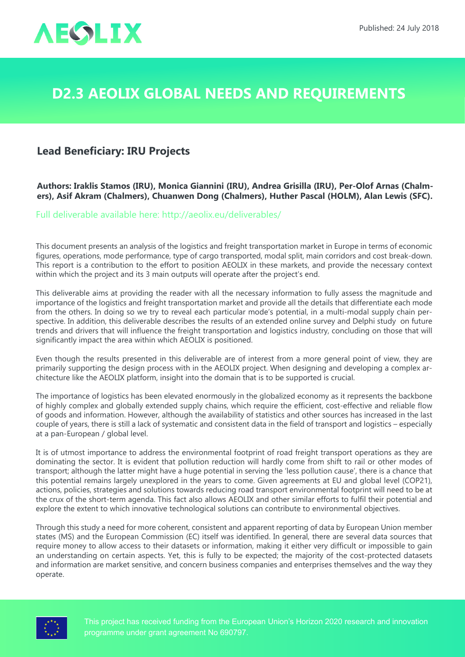

## **D2.3 AEOLIX Global Needs and Requirements**

## **Lead Beneficiary: IRU Projects**

**Authors: Iraklis Stamos (IRU), Monica Giannini (IRU), Andrea Grisilla (IRU), Per-Olof Arnas (Chalmers), Asif Akram (Chalmers), Chuanwen Dong (Chalmers), Huther Pascal (HOLM), Alan Lewis (SFC).**

Full deliverable available here: <http://aeolix.eu/deliverables/>

This document presents an analysis of the logistics and freight transportation market in Europe in terms of economic figures, operations, mode performance, type of cargo transported, modal split, main corridors and cost break-down. This report is a contribution to the effort to position AEOLIX in these markets, and provide the necessary context within which the project and its 3 main outputs will operate after the project's end.

This deliverable aims at providing the reader with all the necessary information to fully assess the magnitude and importance of the logistics and freight transportation market and provide all the details that differentiate each mode from the others. In doing so we try to reveal each particular mode's potential, in a multi-modal supply chain perspective. In addition, this deliverable describes the results of an extended online survey and Delphi study on future trends and drivers that will influence the freight transportation and logistics industry, concluding on those that will significantly impact the area within which AEOLIX is positioned.

Even though the results presented in this deliverable are of interest from a more general point of view, they are primarily supporting the design process with in the AEOLIX project. When designing and developing a complex architecture like the AEOLIX platform, insight into the domain that is to be supported is crucial.

The importance of logistics has been elevated enormously in the globalized economy as it represents the backbone of highly complex and globally extended supply chains, which require the efficient, cost-effective and reliable flow of goods and information. However, although the availability of statistics and other sources has increased in the last couple of years, there is still a lack of systematic and consistent data in the field of transport and logistics – especially at a pan-European / global level.

It is of utmost importance to address the environmental footprint of road freight transport operations as they are dominating the sector. It is evident that pollution reduction will hardly come from shift to rail or other modes of transport; although the latter might have a huge potential in serving the 'less pollution cause', there is a chance that this potential remains largely unexplored in the years to come. Given agreements at EU and global level (COP21), actions, policies, strategies and solutions towards reducing road transport environmental footprint will need to be at the crux of the short-term agenda. This fact also allows AEOLIX and other similar efforts to fulfil their potential and explore the extent to which innovative technological solutions can contribute to environmental objectives.

Through this study a need for more coherent, consistent and apparent reporting of data by European Union member states (MS) and the European Commission (EC) itself was identified. In general, there are several data sources that require money to allow access to their datasets or information, making it either very difficult or impossible to gain an understanding on certain aspects. Yet, this is fully to be expected; the majority of the cost-protected datasets and information are market sensitive, and concern business companies and enterprises themselves and the way they operate.